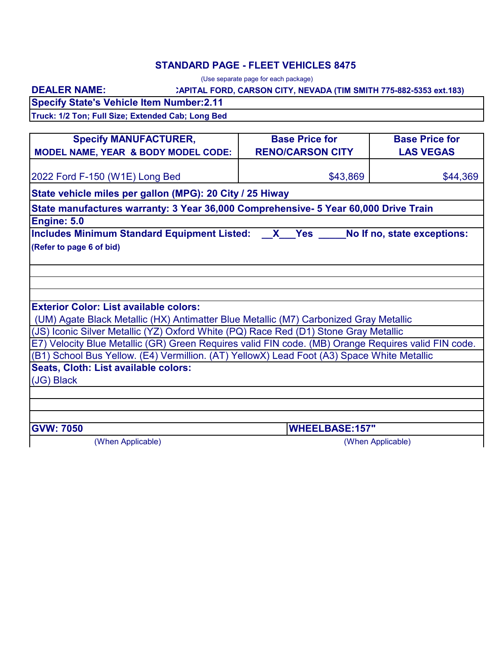## **STANDARD PAGE - FLEET VEHICLES 8475**

|                                                                                                     | (Use separate page for each package)                                |                             |
|-----------------------------------------------------------------------------------------------------|---------------------------------------------------------------------|-----------------------------|
| <b>DEALER NAME:</b>                                                                                 | : APITAL FORD, CARSON CITY, NEVADA (TIM SMITH 775-882-5353 ext.183) |                             |
| <b>Specify State's Vehicle Item Number:2.11</b>                                                     |                                                                     |                             |
| Truck: 1/2 Ton; Full Size; Extended Cab; Long Bed                                                   |                                                                     |                             |
|                                                                                                     |                                                                     |                             |
| <b>Specify MANUFACTURER,</b>                                                                        | <b>Base Price for</b>                                               | <b>Base Price for</b>       |
| <b>MODEL NAME, YEAR &amp; BODY MODEL CODE:</b>                                                      | <b>RENO/CARSON CITY</b>                                             | <b>LAS VEGAS</b>            |
| 2022 Ford F-150 (W1E) Long Bed                                                                      | \$43,869                                                            | \$44,369                    |
| State vehicle miles per gallon (MPG): 20 City / 25 Hiway                                            |                                                                     |                             |
| State manufactures warranty: 3 Year 36,000 Comprehensive- 5 Year 60,000 Drive Train                 |                                                                     |                             |
| Engine: 5.0                                                                                         |                                                                     |                             |
| Includes Minimum Standard Equipment Listed: X Yes                                                   |                                                                     | No If no, state exceptions: |
|                                                                                                     |                                                                     |                             |
| <b>Exterior Color: List available colors:</b>                                                       |                                                                     |                             |
| (UM) Agate Black Metallic (HX) Antimatter Blue Metallic (M7) Carbonized Gray Metallic               |                                                                     |                             |
| (JS) Iconic Silver Metallic (YZ) Oxford White (PQ) Race Red (D1) Stone Gray Metallic                |                                                                     |                             |
| E7) Velocity Blue Metallic (GR) Green Requires valid FIN code. (MB) Orange Requires valid FIN code. |                                                                     |                             |
| (B1) School Bus Yellow. (E4) Vermillion. (AT) YellowX) Lead Foot (A3) Space White Metallic          |                                                                     |                             |
| Seats, Cloth: List available colors:                                                                |                                                                     |                             |
| (JG) Black                                                                                          |                                                                     |                             |
|                                                                                                     |                                                                     |                             |
|                                                                                                     |                                                                     |                             |
| <b>GVW: 7050</b>                                                                                    | <b>WHEELBASE:157"</b>                                               |                             |
| (When Applicable)                                                                                   |                                                                     | (When Applicable)           |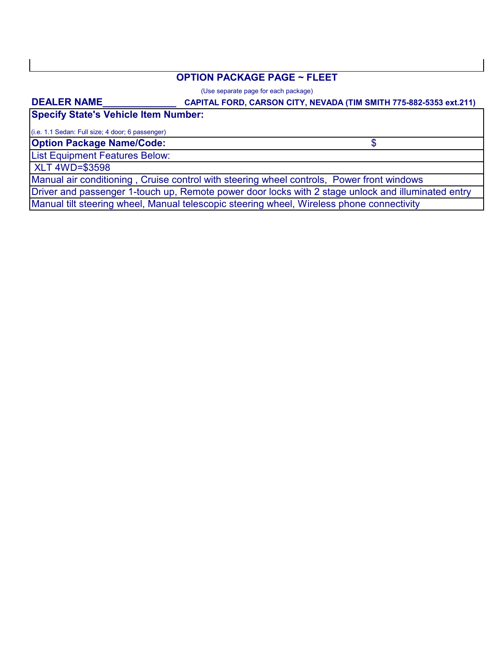### **OPTION PACKAGE PAGE ~ FLEET**

(Use separate page for each package)

#### **DEALER NAME\_\_\_\_\_\_\_\_\_\_\_\_\_\_**

### **CAPITAL FORD, CARSON CITY, NEVADA (TIM SMITH 775-882-5353 ext.211)**

\$

**Specify State's Vehicle Item Number:**

(i.e. 1.1 Sedan: Full size; 4 door; 6 passenger)

**Option Package Name/Code:**

List Equipment Features Below:

XLT 4WD=\$3598

Manual air conditioning , Cruise control with steering wheel controls, Power front windows

Driver and passenger 1-touch up, Remote power door locks with 2 stage unlock and illuminated entry

Manual tilt steering wheel, Manual telescopic steering wheel, Wireless phone connectivity